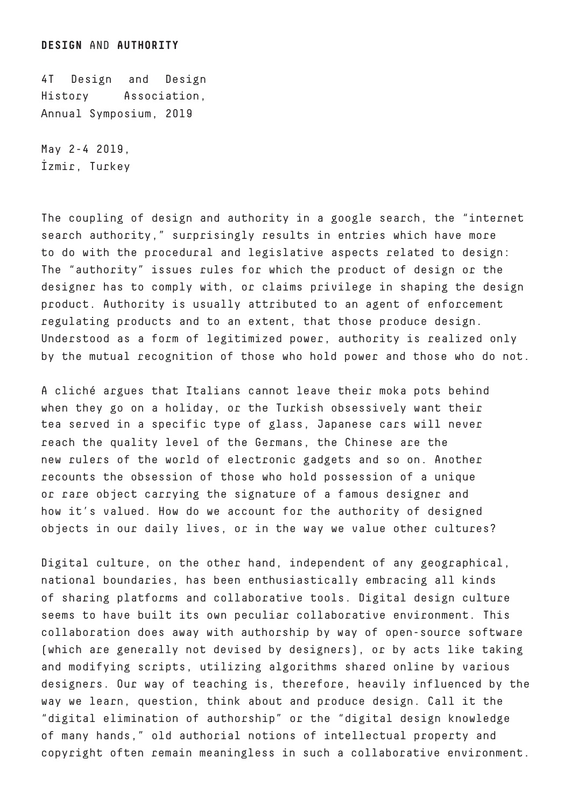4T Design and Design History Association, Annual Symposium, 2019

May 2-4 2019, İzmir, Turkey

The coupling of design and authority in a google search, the "internet search authority," surprisingly results in entries which have more to do with the procedural and legislative aspects related to design: The "authority" issues rules for which the product of design or the designer has to comply with, or claims privilege in shaping the design product. Authority is usually attributed to an agent of enforcement regulating products and to an extent, that those produce design. Understood as a form of legitimized power, authority is realized only by the mutual recognition of those who hold power and those who do not.

A cliché argues that Italians cannot leave their moka pots behind when they go on a holiday, or the Turkish obsessively want their tea served in a specific type of glass, Japanese cars will never reach the quality level of the Germans, the Chinese are the new rulers of the world of electronic gadgets and so on. Another recounts the obsession of those who hold possession of a unique or rare object carrying the signature of a famous designer and how it's valued. How do we account for the authority of designed objects in our daily lives, or in the way we value other cultures?

Digital culture, on the other hand, independent of any geographical, national boundaries, has been enthusiastically embracing all kinds of sharing platforms and collaborative tools. Digital design culture seems to have built its own peculiar collaborative environment. This collaboration does away with authorship by way of open-source software (which are generally not devised by designers), or by acts like taking and modifying scripts, utilizing algorithms shared online by various designers. Our way of teaching is, therefore, heavily influenced by the way we learn, question, think about and produce design. Call it the "digital elimination of authorship" or the "digital design knowledge of many hands," old authorial notions of intellectual property and copyright often remain meaningless in such a collaborative environment.